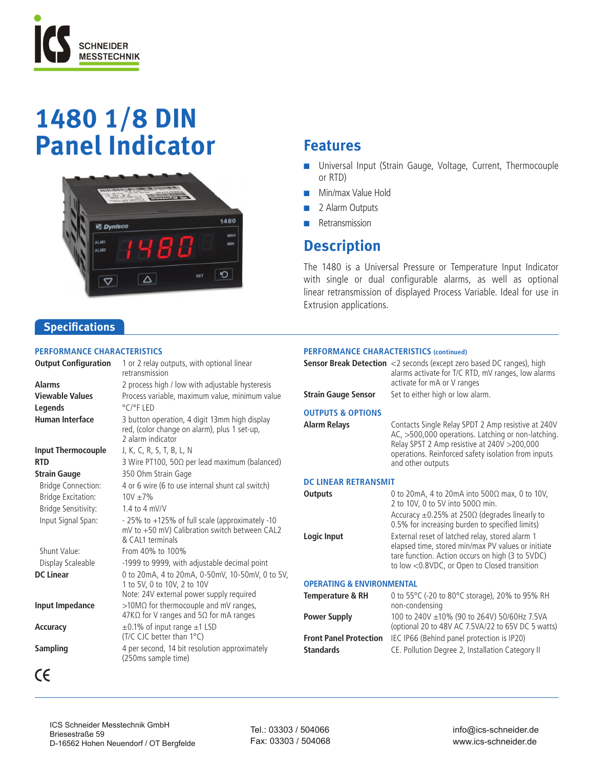

# **1480 1/8 DIN Panel Indicator**



# **Features**

- **n** Universal Input (Strain Gauge, Voltage, Current, Thermocouple or RTD)
- Min/max Value Hold
- **n** 2 Alarm Outputs
- **n** Retransmission

## **Description**

The 1480 is a Universal Pressure or Temperature Input Indicator with single or dual configurable alarms, as well as optional linear retransmission of displayed Process Variable. Ideal for use in Extrusion applications.

### **Specifications**

#### **Performance Characteristics**

| <b>Output Configuration</b> | 1 or 2 relay outputs, with optional linear<br>retransmission                                                         |
|-----------------------------|----------------------------------------------------------------------------------------------------------------------|
| <b>Alarms</b>               | 2 process high / low with adjustable hysteresis                                                                      |
| <b>Viewable Values</b>      | Process variable, maximum value, minimum value                                                                       |
| Legends                     | $\degree$ C/ $\degree$ FIFD                                                                                          |
| <b>Human Interface</b>      | 3 button operation, 4 digit 13mm high display<br>red, (color change on alarm), plus 1 set-up,<br>2 alarm indicator   |
| <b>Input Thermocouple</b>   | J, K, C, R, S, T, B, L, N                                                                                            |
| <b>RTD</b>                  | 3 Wire PT100, 50 $\Omega$ per lead maximum (balanced)                                                                |
| <b>Strain Gauge</b>         | 350 Ohm Strain Gage                                                                                                  |
| <b>Bridge Connection:</b>   | 4 or 6 wire (6 to use internal shunt cal switch)                                                                     |
| <b>Bridge Excitation:</b>   | $10V + 7%$                                                                                                           |
| Bridge Sensitivity:         | $1.4$ to $4$ mV/V                                                                                                    |
| Input Signal Span:          | - 25% to +125% of full scale (approximately -10<br>mV to +50 mV) Calibration switch between CAL2<br>& CAL1 terminals |
| Shunt Value:                | From 40% to 100%                                                                                                     |
| Display Scaleable           | -1999 to 9999, with adjustable decimal point                                                                         |
| <b>DC Linear</b>            | 0 to 20mA, 4 to 20mA, 0-50mV, 10-50mV, 0 to 5V,<br>1 to 5V, 0 to 10V, 2 to 10V                                       |
|                             | Note: 24V external power supply required                                                                             |
| Input Impedance             | >10MΩ for thermocouple and mV ranges,<br>47K $\Omega$ for V ranges and 5 $\Omega$ for mA ranges                      |
| Accuracy                    | $\pm$ 0.1% of input range $\pm$ 1 LSD<br>(T/C CJC better than 1°C)                                                   |
| <b>Sampling</b>             | 4 per second, 14 bit resolution approximately<br>(250ms sample time)                                                 |
| CE                          |                                                                                                                      |

#### **Performance Characteristics (continued)**

| <b>Strain Gauge Sensor</b>                          | <b>Sensor Break Detection</b> <2 seconds (except zero based DC ranges), high<br>alarms activate for T/C RTD, mV ranges, low alarms<br>activate for mA or V ranges<br>Set to either high or low alarm.                                |
|-----------------------------------------------------|--------------------------------------------------------------------------------------------------------------------------------------------------------------------------------------------------------------------------------------|
| <b>OUTPUTS &amp; OPTIONS</b><br><b>Alarm Relays</b> | Contacts Single Relay SPDT 2 Amp resistive at 240V<br>AC, >500,000 operations. Latching or non-latching.<br>Relay SPST 2 Amp resistive at 240V > 200,000<br>operations. Reinforced safety isolation from inputs<br>and other outputs |
| <b>DC LINEAR RETRANSMIT</b>                         |                                                                                                                                                                                                                                      |
| <b>Outputs</b>                                      | 0 to 20mA, 4 to 20mA into 500 $\Omega$ max, 0 to 10V,<br>2 to 10V, 0 to 5V into 500 $\Omega$ min.<br>Accuracy $\pm$ 0.25% at 250 $\Omega$ (degrades linearly to<br>0.5% for increasing burden to specified limits)                   |
| Logic Input                                         | External reset of latched relay, stored alarm 1<br>elapsed time, stored min/max PV values or initiate<br>tare function. Action occurs on high (3 to 5VDC)<br>to low <0.8VDC, or Open to Closed transition                            |
| <b>OPERATING &amp; ENVIRONMENTAL</b>                |                                                                                                                                                                                                                                      |
| Temperature & RH                                    | 0 to 55 $\degree$ C (-20 to 80 $\degree$ C storage), 20% to 95% RH<br>non-condensing                                                                                                                                                 |
| <b>Power Supply</b>                                 | 100 to 240V $\pm$ 10% (90 to 264V) 50/60Hz 7.5VA<br>$\left( \ldots \right)$ $\left( \ldots \right)$ $\left( \begin{array}{c} -1 \\ -1 \end{array} \right)$                                                                           |

(optional 20 to 48V AC 7.5VA/22 to 65V DC 5 watts) **Front Panel Protection** IEC IP66 (Behind panel protection is IP20) **Standards CE. Pollution Degree 2, Installation Category II** 

ICS Schneider Messtechnik GmbH Briesestraße 59 D-16562 Hohen Neuendorf / OT Bergfelde